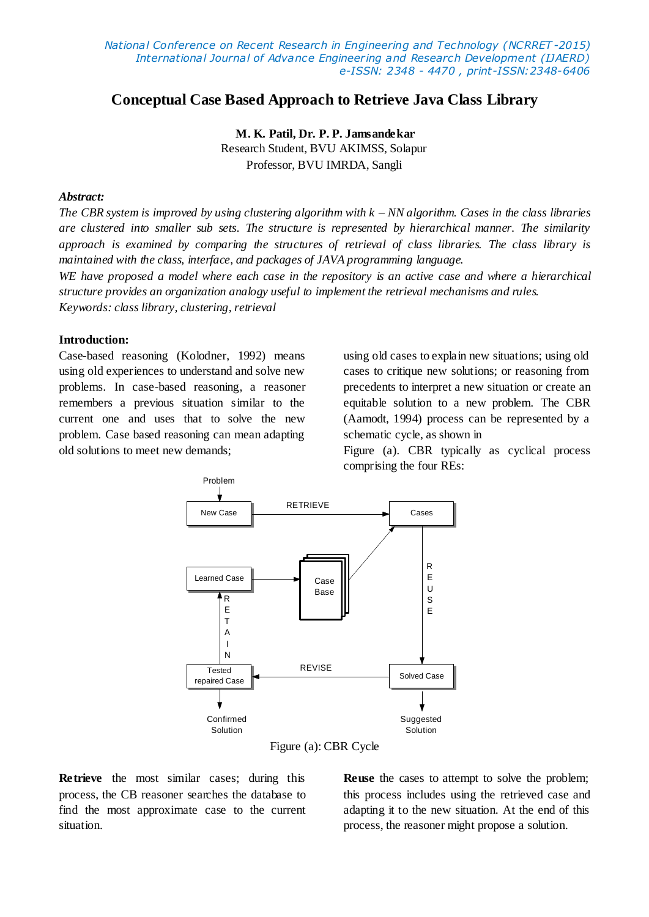# **Conceptual Case Based Approach to Retrieve Java Class Library**

**M. K. Patil, Dr. P. P. Jamsandekar** Research Student, BVU AKIMSS, Solapur Professor, BVU IMRDA, Sangli

# *Abstract:*

*The CBR system is improved by using clustering algorithm with k – NN algorithm. Cases in the class libraries are clustered into smaller sub sets. The structure is represented by hierarchical manner. The similarity approach is examined by comparing the structures of retrieval of class libraries. The class library is maintained with the class, interface, and packages of JAVA programming language.* 

*WE have proposed a model where each case in the repository is an active case and where a hierarchical structure provides an organization analogy useful to implement the retrieval mechanisms and rules. Keywords: class library, clustering, retrieval*

### **Introduction:**

Case-based reasoning (Kolodner, 1992) means using old experiences to understand and solve new problems. In case-based reasoning, a reasoner remembers a previous situation similar to the current one and uses that to solve the new problem. Case based reasoning can mean adapting old solutions to meet new demands;

using old cases to explain new situations; using old cases to critique new solutions; or reasoning from precedents to interpret a new situation or create an equitable solution to a new problem. The CBR (Aamodt, 1994) process can be represented by a schematic cycle, as shown in

Figure (a). CBR typically as cyclical process comprising the four REs:



Figure (a): CBR Cycle

**Retrieve** the most similar cases; during this process, the CB reasoner searches the database to find the most approximate case to the current situation.

**Reuse** the cases to attempt to solve the problem; this process includes using the retrieved case and adapting it to the new situation. At the end of this process, the reasoner might propose a solution.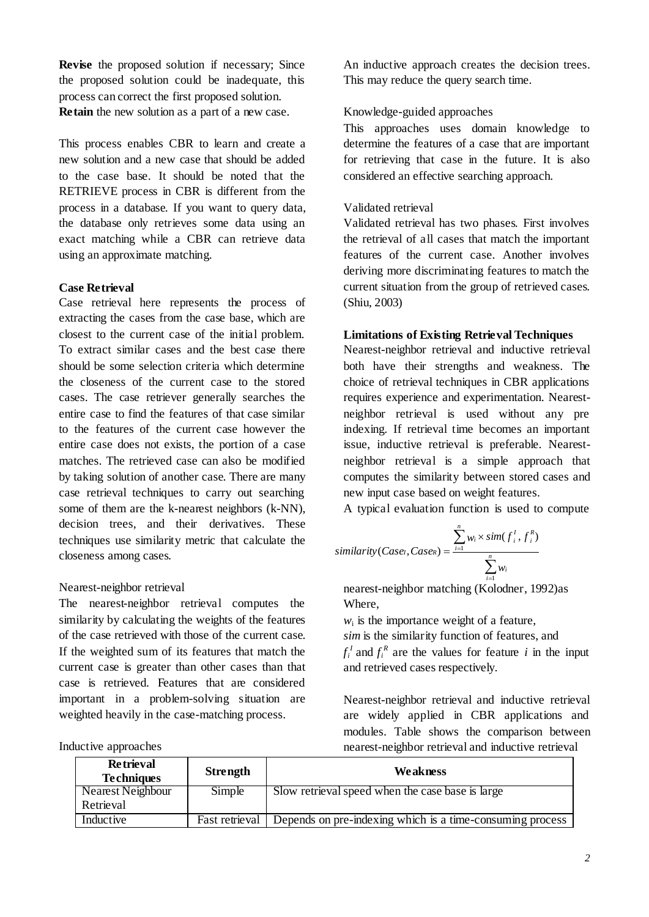**Revise** the proposed solution if necessary; Since the proposed solution could be inadequate, this process can correct the first proposed solution. **Retain** the new solution as a part of a new case.

This process enables CBR to learn and create a new solution and a new case that should be added to the case base. It should be noted that the RETRIEVE process in CBR is different from the process in a database. If you want to query data, the database only retrieves some data using an exact matching while a CBR can retrieve data using an approximate matching.

## **Case Retrieval**

Case retrieval here represents the process of extracting the cases from the case base, which are closest to the current case of the initial problem. To extract similar cases and the best case there should be some selection criteria which determine the closeness of the current case to the stored cases. The case retriever generally searches the entire case to find the features of that case similar to the features of the current case however the entire case does not exists, the portion of a case matches. The retrieved case can also be modified by taking solution of another case. There are many case retrieval techniques to carry out searching some of them are the k-nearest neighbors (k-NN), decision trees, and their derivatives. These techniques use similarity metric that calculate the closeness among cases.

### Nearest-neighbor retrieval

The nearest-neighbor retrieval computes the similarity by calculating the weights of the features of the case retrieved with those of the current case. If the weighted sum of its features that match the current case is greater than other cases than that case is retrieved. Features that are considered important in a problem-solving situation are weighted heavily in the case-matching process.

An inductive approach creates the decision trees. This may reduce the query search time.

# Knowledge-guided approaches

This approaches uses domain knowledge to determine the features of a case that are important for retrieving that case in the future. It is also considered an effective searching approach.

## Validated retrieval

Validated retrieval has two phases. First involves the retrieval of all cases that match the important features of the current case. Another involves deriving more discriminating features to match the current situation from the group of retrieved cases. (Shiu, 2003)

## **Limitations of Existing Retrieval Techniques**

Nearest-neighbor retrieval and inductive retrieval both have their strengths and weakness. The choice of retrieval techniques in CBR applications requires experience and experimentation. Nearestneighbor retrieval is used without any pre indexing. If retrieval time becomes an important issue, inductive retrieval is preferable. Nearestneighbor retrieval is a simple approach that computes the similarity between stored cases and new input case based on weight features.

A typical evaluation function is used to compute

$$
\textit{similarity}(Case, Case) = \frac{\sum_{i=1}^{n} w_i \times \textit{sim}(f_i^1, f_i^R)}{\sum_{i=1}^{n} w_i}
$$

nearest-neighbor matching (Kolodner, 1992)as Where,

 $w_i$  is the importance weight of a feature, *sim* is the similarity function of features, and  $f_i^I$  and  $f_i^R$  are the values for feature *i* in the input and retrieved cases respectively.

Nearest-neighbor retrieval and inductive retrieval are widely applied in CBR applications and modules. Table shows the comparison between nearest-neighbor retrieval and inductive retrieval

| <b>Retrieval</b><br><b>Techniques</b> | <b>Strength</b> | Weakness                                                  |
|---------------------------------------|-----------------|-----------------------------------------------------------|
| Nearest Neighbour                     | Simple          | Slow retrieval speed when the case base is large          |
| Retrieval                             |                 |                                                           |
| Inductive                             | Fast retrieval  | Depends on pre-indexing which is a time-consuming process |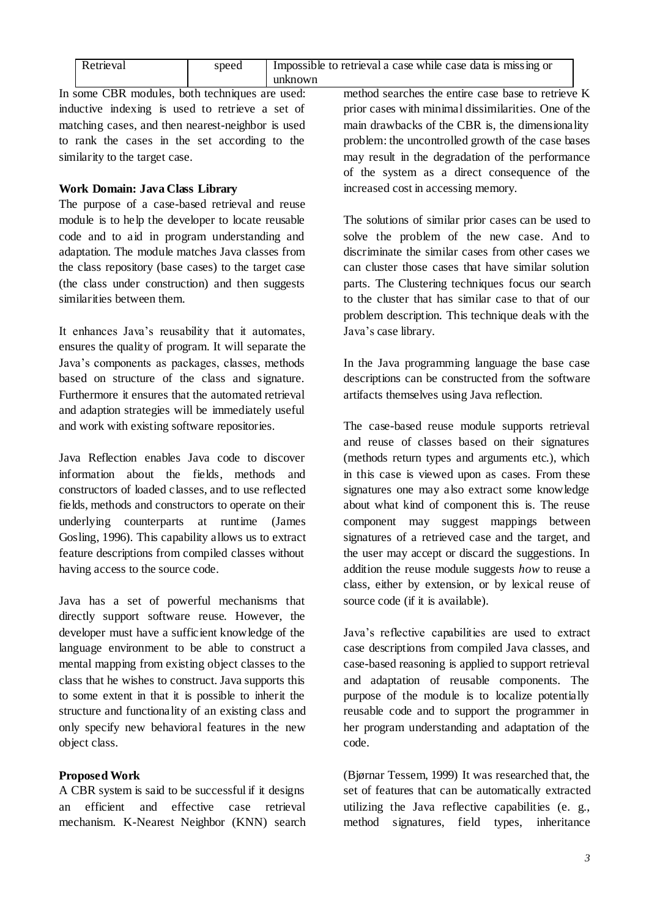| Retrieval | speed | Impossible to retrieval a case while case data is missing or<br>unknown |
|-----------|-------|-------------------------------------------------------------------------|
|           |       |                                                                         |

In some CBR modules, both techniques are used: inductive indexing is used to retrieve a set of matching cases, and then nearest-neighbor is used to rank the cases in the set according to the similarity to the target case.

# **Work Domain: Java Class Library**

The purpose of a case-based retrieval and reuse module is to help the developer to locate reusable code and to aid in program understanding and adaptation. The module matches Java classes from the class repository (base cases) to the target case (the class under construction) and then suggests similarities between them.

It enhances Java's reusability that it automates, ensures the quality of program. It will separate the Java's components as packages, classes, methods based on structure of the class and signature. Furthermore it ensures that the automated retrieval and adaption strategies will be immediately useful and work with existing software repositories.

Java Reflection enables Java code to discover information about the fields, methods and constructors of loaded classes, and to use reflected fields, methods and constructors to operate on their underlying counterparts at runtime (James Gosling, 1996). This capability allows us to extract feature descriptions from compiled classes without having access to the source code.

Java has a set of powerful mechanisms that directly support software reuse. However, the developer must have a sufficient knowledge of the language environment to be able to construct a mental mapping from existing object classes to the class that he wishes to construct. Java supports this to some extent in that it is possible to inherit the structure and functionality of an existing class and only specify new behavioral features in the new object class.

### **Proposed Work**

A CBR system is said to be successful if it designs an efficient and effective case retrieval mechanism. K-Nearest Neighbor (KNN) search method searches the entire case base to retrieve K prior cases with minimal dissimilarities. One of the main drawbacks of the CBR is, the dimensionality problem: the uncontrolled growth of the case bases may result in the degradation of the performance of the system as a direct consequence of the increased cost in accessing memory.

The solutions of similar prior cases can be used to solve the problem of the new case. And to discriminate the similar cases from other cases we can cluster those cases that have similar solution parts. The Clustering techniques focus our search to the cluster that has similar case to that of our problem description. This technique deals with the Java's case library.

In the Java programming language the base case descriptions can be constructed from the software artifacts themselves using Java reflection.

The case-based reuse module supports retrieval and reuse of classes based on their signatures (methods return types and arguments etc.), which in this case is viewed upon as cases. From these signatures one may also extract some knowledge about what kind of component this is. The reuse component may suggest mappings between signatures of a retrieved case and the target, and the user may accept or discard the suggestions. In addition the reuse module suggests *how* to reuse a class, either by extension, or by lexical reuse of source code (if it is available).

Java's reflective capabilities are used to extract case descriptions from compiled Java classes, and case-based reasoning is applied to support retrieval and adaptation of reusable components. The purpose of the module is to localize potentially reusable code and to support the programmer in her program understanding and adaptation of the code.

(Bjørnar Tessem, 1999) It was researched that, the set of features that can be automatically extracted utilizing the Java reflective capabilities (e. g., method signatures, field types, inheritance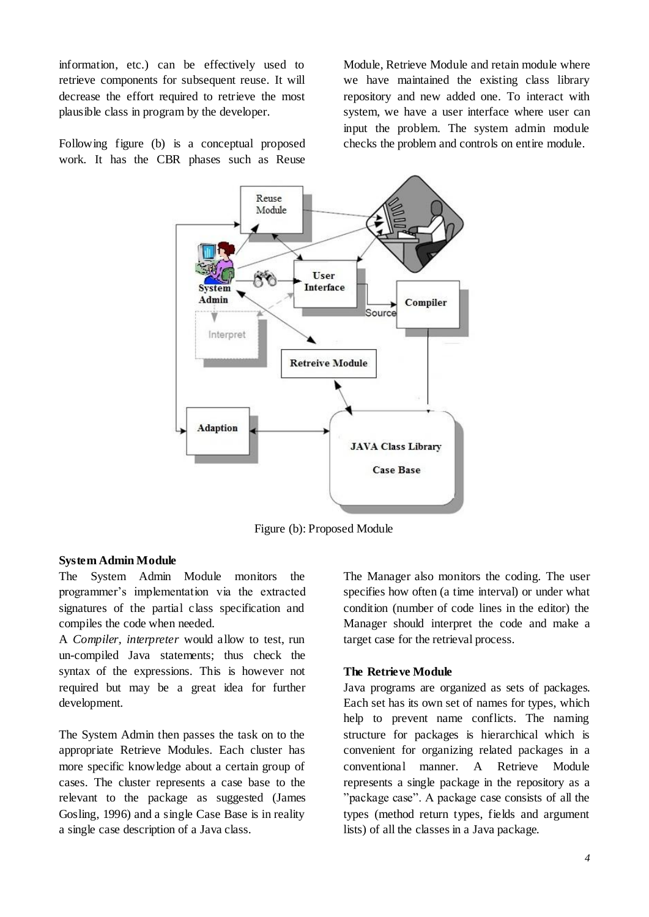information, etc.) can be effectively used to retrieve components for subsequent reuse. It will decrease the effort required to retrieve the most plausible class in program by the developer.

Module, Retrieve Module and retain module where we have maintained the existing class library repository and new added one. To interact with system, we have a user interface where user can input the problem. The system admin module checks the problem and controls on entire module.

Following figure (b) is a conceptual proposed work. It has the CBR phases such as Reuse



Figure (b): Proposed Module

#### **System Admin Module**

The System Admin Module monitors the programmer's implementation via the extracted signatures of the partial class specification and compiles the code when needed.

A *Compiler, interpreter* would allow to test, run un-compiled Java statements; thus check the syntax of the expressions. This is however not required but may be a great idea for further development.

The System Admin then passes the task on to the appropriate Retrieve Modules. Each cluster has more specific knowledge about a certain group of cases. The cluster represents a case base to the relevant to the package as suggested (James Gosling, 1996) and a single Case Base is in reality a single case description of a Java class.

The Manager also monitors the coding. The user specifies how often (a time interval) or under what condition (number of code lines in the editor) the Manager should interpret the code and make a target case for the retrieval process.

#### **The Retrieve Module**

Java programs are organized as sets of packages. Each set has its own set of names for types, which help to prevent name conflicts. The naming structure for packages is hierarchical which is convenient for organizing related packages in a conventional manner. A Retrieve Module represents a single package in the repository as a "package case". A package case consists of all the types (method return types, fields and argument lists) of all the classes in a Java package.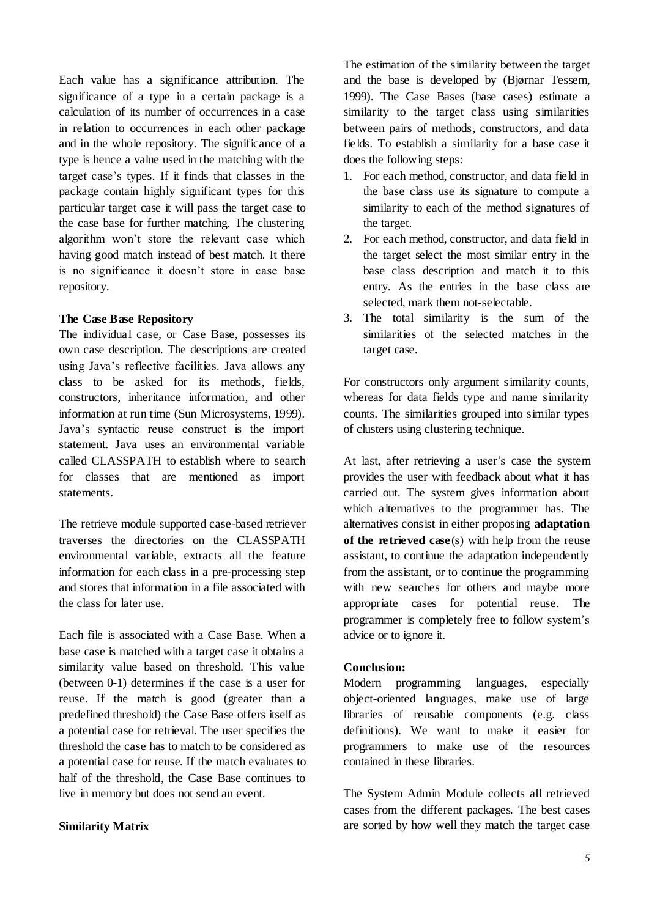Each value has a significance attribution. The significance of a type in a certain package is a calculation of its number of occurrences in a case in relation to occurrences in each other package and in the whole repository. The significance of a type is hence a value used in the matching with the target case's types. If it finds that classes in the package contain highly significant types for this particular target case it will pass the target case to the case base for further matching. The clustering algorithm won't store the relevant case which having good match instead of best match. It there is no significance it doesn't store in case base repository.

### **The Case Base Repository**

The individual case, or Case Base, possesses its own case description. The descriptions are created using Java's reflective facilities. Java allows any class to be asked for its methods, fields, constructors, inheritance information, and other information at run time (Sun Microsystems, 1999). Java's syntactic reuse construct is the import statement. Java uses an environmental variable called CLASSPATH to establish where to search for classes that are mentioned as import statements.

The retrieve module supported case-based retriever traverses the directories on the CLASSPATH environmental variable, extracts all the feature information for each class in a pre-processing step and stores that information in a file associated with the class for later use.

Each file is associated with a Case Base. When a base case is matched with a target case it obtains a similarity value based on threshold. This value (between 0-1) determines if the case is a user for reuse. If the match is good (greater than a predefined threshold) the Case Base offers itself as a potential case for retrieval. The user specifies the threshold the case has to match to be considered as a potential case for reuse. If the match evaluates to half of the threshold, the Case Base continues to live in memory but does not send an event.

#### **Similarity Matrix**

The estimation of the similarity between the target and the base is developed by (Bjørnar Tessem, 1999). The Case Bases (base cases) estimate a similarity to the target class using similarities between pairs of methods, constructors, and data fields. To establish a similarity for a base case it does the following steps:

- 1. For each method, constructor, and data field in the base class use its signature to compute a similarity to each of the method signatures of the target.
- 2. For each method, constructor, and data field in the target select the most similar entry in the base class description and match it to this entry. As the entries in the base class are selected, mark them not-selectable.
- 3. The total similarity is the sum of the similarities of the selected matches in the target case.

For constructors only argument similarity counts, whereas for data fields type and name similarity counts. The similarities grouped into similar types of clusters using clustering technique.

At last, after retrieving a user's case the system provides the user with feedback about what it has carried out. The system gives information about which alternatives to the programmer has. The alternatives consist in either proposing **adaptation of the retrieved case** (s) with help from the reuse assistant, to continue the adaptation independently from the assistant, or to continue the programming with new searches for others and maybe more appropriate cases for potential reuse. The programmer is completely free to follow system's advice or to ignore it.

#### **Conclusion:**

Modern programming languages, especially object-oriented languages, make use of large libraries of reusable components (e.g. class definitions). We want to make it easier for programmers to make use of the resources contained in these libraries.

The System Admin Module collects all retrieved cases from the different packages. The best cases are sorted by how well they match the target case